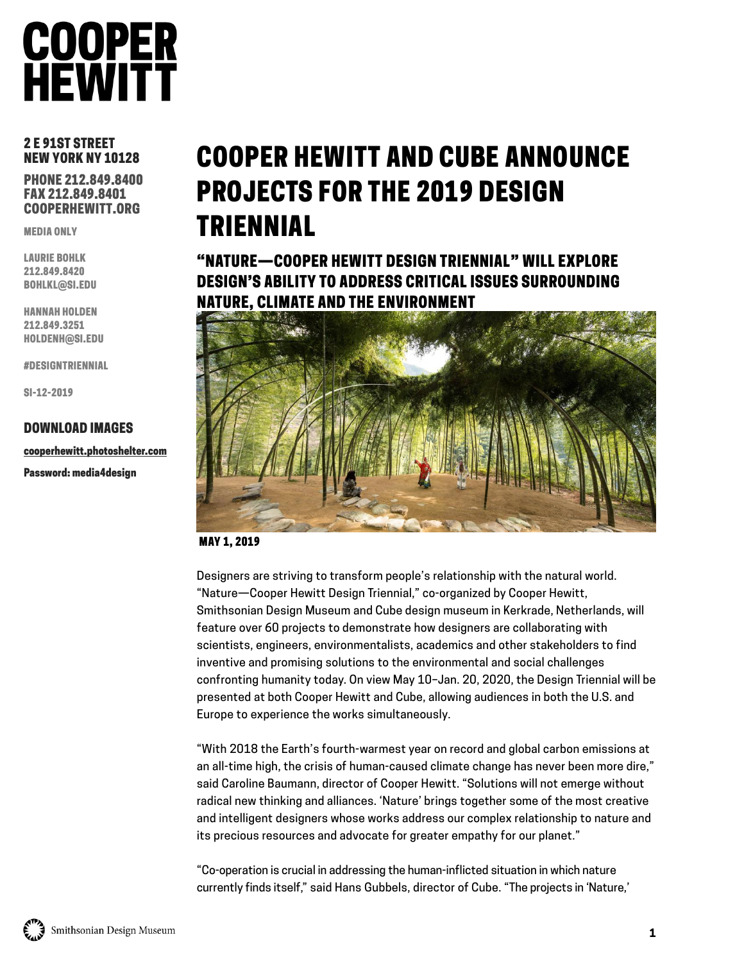## 2 E 91ST STREET NEW YORK NY 10128

PHONE 212.849.8400 FAX 212.849.8401 COOPERHEWITT.ORG

MEDIA ONLY

LAURIE BOHLK 212.849.8420 BOHLKL@SI.EDU

HANNAH HOLDEN 212.849.3251 HOLDENH@SI.EDU

#DESIGNTRIENNIAL

SI-12-2019

### DOWNLOAD IMAGES

cooperhewitt.photoshelter.com

Password: media4design

## COOPER HEWITT AND CUBE ANNOUNCE PROJECTS FOR THE 2019 DESIGN TRIENNIAL

"NATURE—COOPER HEWITT DESIGN TRIENNIAL" WILL EXPLORE DESIGN'S ABILITY TO ADDRESS CRITICAL ISSUES SURROUNDING NATURE, CLIMATE AND THE ENVIRONMENT



MAY 1, 2019

Designers are striving to transform people's relationship with the natural world. "Nature—Cooper Hewitt Design Triennial," co-organized by Cooper Hewitt, Smithsonian Design Museum and Cube design museum in Kerkrade, Netherlands, will feature over 60 projects to demonstrate how designers are collaborating with scientists, engineers, environmentalists, academics and other stakeholders to find inventive and promising solutions to the environmental and social challenges confronting humanity today. On view May 10–Jan. 20, 2020, the Design Triennial will be presented at both Cooper Hewitt and Cube, allowing audiences in both the U.S. and Europe to experience the works simultaneously.

"With 2018 the Earth's fourth-warmest year on record and global carbon emissions at an all-time high, the crisis of human-caused climate change has never been more dire," said Caroline Baumann, director of Cooper Hewitt. "Solutions will not emerge without radical new thinking and alliances. 'Nature' brings together some of the most creative and intelligent designers whose works address our complex relationship to nature and its precious resources and advocate for greater empathy for our planet."

"Co-operation is crucial in addressing the human-inflicted situation in which nature currently finds itself," said Hans Gubbels, director of Cube. "The projects in 'Nature,'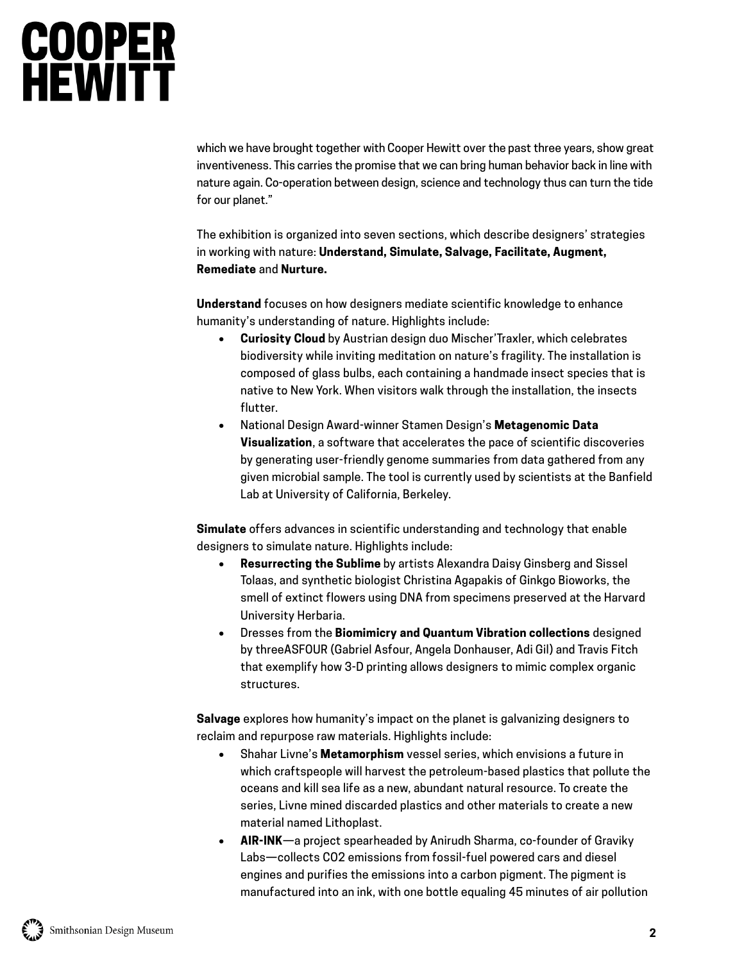which we have brought together with Cooper Hewitt over the past three years, show great inventiveness. This carries the promise that we can bring human behavior back in line with nature again. Co-operation between design, science and technology thus can turn the tide for our planet."

The exhibition is organized into seven sections, which describe designers' strategies in working with nature: **Understand, Simulate, Salvage, Facilitate, Augment, Remediate** and **Nurture.**

**Understand** focuses on how designers mediate scientific knowledge to enhance humanity's understanding of nature. Highlights include:

- **Curiosity Cloud** by Austrian design duo Mischer'Traxler, which celebrates biodiversity while inviting meditation on nature's fragility. The installation is composed of glass bulbs, each containing a handmade insect species that is native to New York. When visitors walk through the installation, the insects flutter.
- National Design Award-winner Stamen Design's **Metagenomic Data Visualization**, a software that accelerates the pace of scientific discoveries by generating user-friendly genome summaries from data gathered from any given microbial sample. The tool is currently used by scientists at the Banfield Lab at University of California, Berkeley.

**Simulate** offers advances in scientific understanding and technology that enable designers to simulate nature. Highlights include:

- **Resurrecting the Sublime** by artists Alexandra Daisy Ginsberg and Sissel Tolaas, and synthetic biologist Christina Agapakis of Ginkgo Bioworks, the smell of extinct flowers using DNA from specimens preserved at the Harvard University Herbaria.
- Dresses from the **Biomimicry and Quantum Vibration collections** designed by threeASFOUR (Gabriel Asfour, Angela Donhauser, Adi Gil) and Travis Fitch that exemplify how 3-D printing allows designers to mimic complex organic structures.

**Salvage** explores how humanity's impact on the planet is galvanizing designers to reclaim and repurpose raw materials. Highlights include:

- Shahar Livne's **Metamorphism** vessel series, which envisions a future in which craftspeople will harvest the petroleum-based plastics that pollute the oceans and kill sea life as a new, abundant natural resource. To create the series, Livne mined discarded plastics and other materials to create a new material named Lithoplast.
- **AIR-INK**—a project spearheaded by Anirudh Sharma, co-founder of Graviky Labs—collects CO2 emissions from fossil-fuel powered cars and diesel engines and purifies the emissions into a carbon pigment. The pigment is manufactured into an ink, with one bottle equaling 45 minutes of air pollution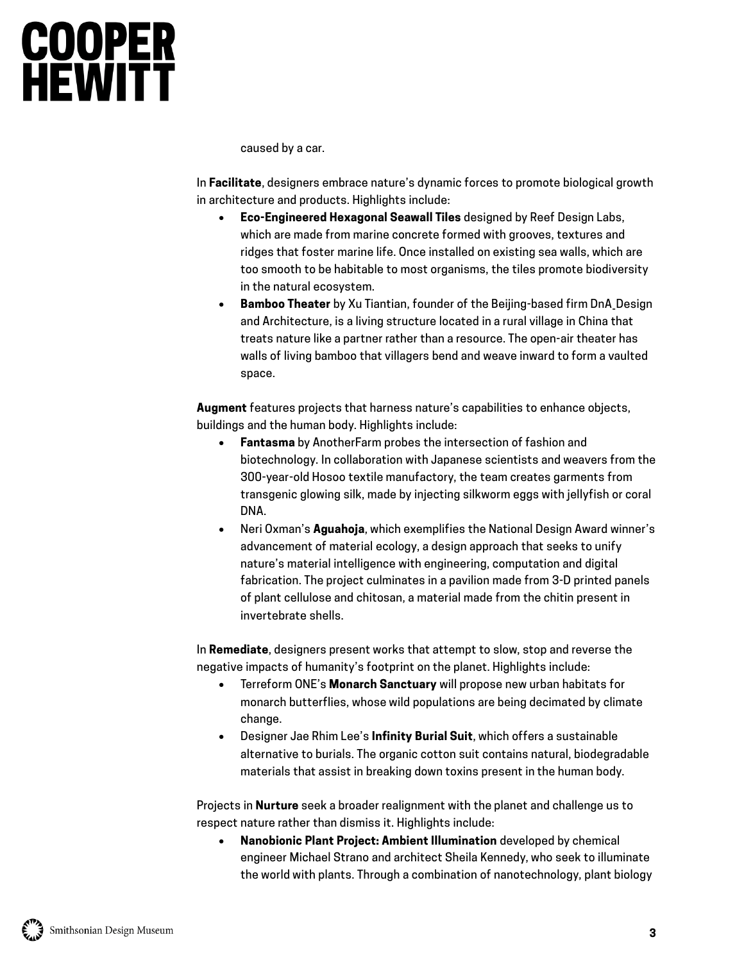caused by a car.

In **Facilitate**, designers embrace nature's dynamic forces to promote biological growth in architecture and products. Highlights include:

- **Eco-Engineered Hexagonal Seawall Tiles** designed by Reef Design Labs, which are made from marine concrete formed with grooves, textures and ridges that foster marine life. Once installed on existing sea walls, which are too smooth to be habitable to most organisms, the tiles promote biodiversity in the natural ecosystem.
- **Bamboo Theater** by Xu Tiantian, founder of the Beijing-based firm DnA\_Design and Architecture, is a living structure located in a rural village in China that treats nature like a partner rather than a resource. The open-air theater has walls of living bamboo that villagers bend and weave inward to form a vaulted space.

**Augment** features projects that harness nature's capabilities to enhance objects, buildings and the human body. Highlights include:

- **Fantasma** by AnotherFarm probes the intersection of fashion and biotechnology. In collaboration with Japanese scientists and weavers from the 300-year-old Hosoo textile manufactory, the team creates garments from transgenic glowing silk, made by injecting silkworm eggs with jellyfish or coral DNA.
- Neri Oxman's **Aguahoja**, which exemplifies the National Design Award winner's advancement of material ecology, a design approach that seeks to unify nature's material intelligence with engineering, computation and digital fabrication. The project culminates in a pavilion made from 3-D printed panels of plant cellulose and chitosan, a material made from the chitin present in invertebrate shells.

In **Remediate**, designers present works that attempt to slow, stop and reverse the negative impacts of humanity's footprint on the planet. Highlights include:

- Terreform ONE's **Monarch Sanctuary** will propose new urban habitats for monarch butterflies, whose wild populations are being decimated by climate change.
- Designer Jae Rhim Lee's **Infinity Burial Suit**, which offers a sustainable alternative to burials. The organic cotton suit contains natural, biodegradable materials that assist in breaking down toxins present in the human body.

Projects in **Nurture** seek a broader realignment with the planet and challenge us to respect nature rather than dismiss it. Highlights include:

 **Nanobionic Plant Project: Ambient Illumination** developed by chemical engineer Michael Strano and architect Sheila Kennedy, who seek to illuminate the world with plants. Through a combination of nanotechnology, plant biology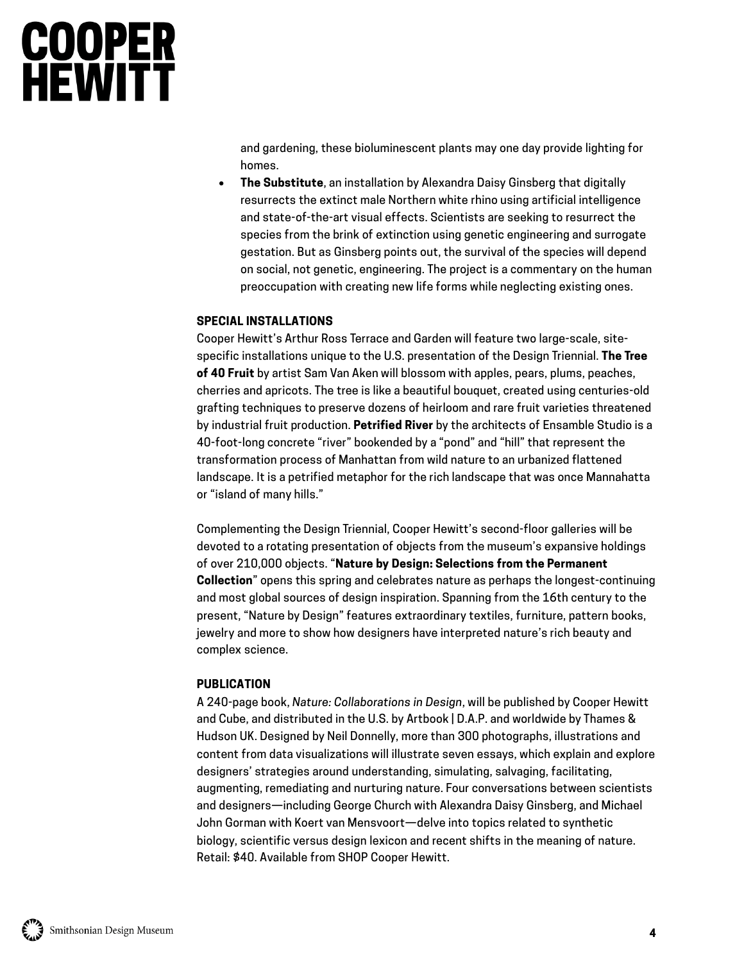and gardening, these bioluminescent plants may one day provide lighting for homes.

 **The Substitute**, an installation by Alexandra Daisy Ginsberg that digitally resurrects the extinct male Northern white rhino using artificial intelligence and state-of-the-art visual effects. Scientists are seeking to resurrect the species from the brink of extinction using genetic engineering and surrogate gestation. But as Ginsberg points out, the survival of the species will depend on social, not genetic, engineering. The project is a commentary on the human preoccupation with creating new life forms while neglecting existing ones.

### **SPECIAL INSTALLATIONS**

Cooper Hewitt's Arthur Ross Terrace and Garden will feature two large-scale, sitespecific installations unique to the U.S. presentation of the Design Triennial. **The Tree of 40 Fruit** by artist Sam Van Aken will blossom with apples, pears, plums, peaches, cherries and apricots. The tree is like a beautiful bouquet, created using centuries-old grafting techniques to preserve dozens of heirloom and rare fruit varieties threatened by industrial fruit production. **Petrified River** by the architects of Ensamble Studio is a 40-foot-long concrete "river" bookended by a "pond" and "hill" that represent the transformation process of Manhattan from wild nature to an urbanized flattened landscape. It is a petrified metaphor for the rich landscape that was once Mannahatta or "island of many hills."

Complementing the Design Triennial, Cooper Hewitt's second-floor galleries will be devoted to a rotating presentation of objects from the museum's expansive holdings of over 210,000 objects. "**Nature by Design: Selections from the Permanent Collection**" opens this spring and celebrates nature as perhaps the longest-continuing and most global sources of design inspiration. Spanning from the 16th century to the present, "Nature by Design" features extraordinary textiles, furniture, pattern books, jewelry and more to show how designers have interpreted nature's rich beauty and complex science.

### **PUBLICATION**

A 240-page book, *Nature: Collaborations in Design*, will be published by Cooper Hewitt and Cube, and distributed in the U.S. by Artbook | D.A.P. and worldwide by Thames & Hudson UK. Designed by Neil Donnelly, more than 300 photographs, illustrations and content from data visualizations will illustrate seven essays, which explain and explore designers' strategies around understanding, simulating, salvaging, facilitating, augmenting, remediating and nurturing nature. Four conversations between scientists and designers—including George Church with Alexandra Daisy Ginsberg, and Michael John Gorman with Koert van Mensvoort—delve into topics related to synthetic biology, scientific versus design lexicon and recent shifts in the meaning of nature. Retail: \$40. Available from SHOP Cooper Hewitt.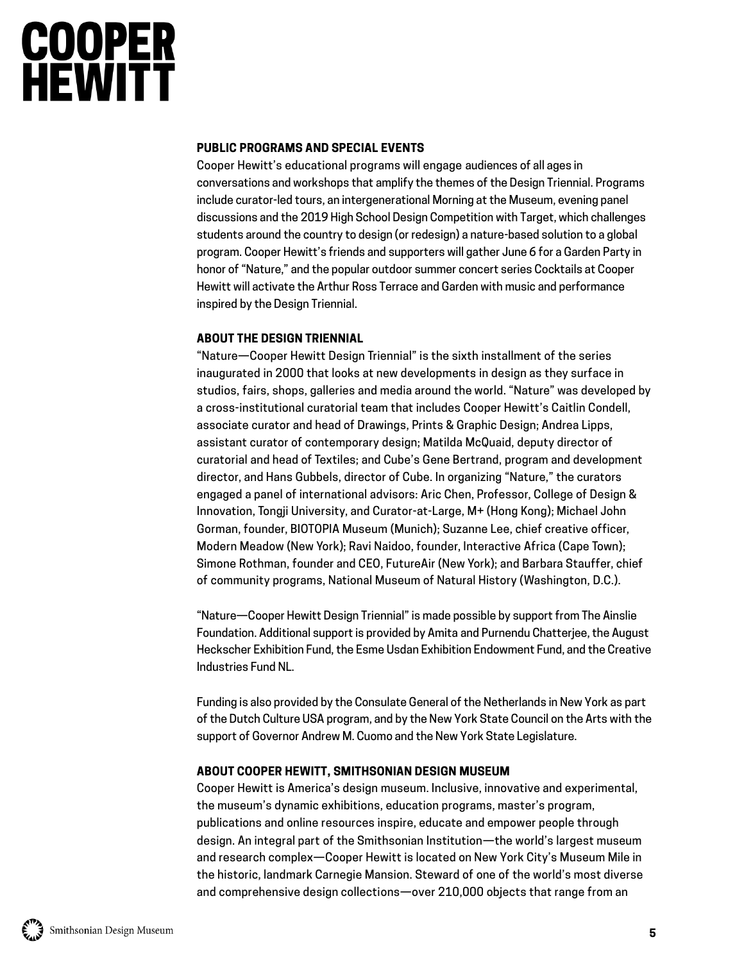### **PUBLIC PROGRAMS AND SPECIAL EVENTS**

Cooper Hewitt's educational programs will engage audiences of all ages in conversations and workshops that amplify the themes of the Design Triennial. Programs include curator-led tours, an intergenerational Morning at the Museum, evening panel discussions and the 2019 High School Design Competition with Target, which challenges students around the country to design (or redesign) a nature-based solution to a global program. Cooper Hewitt's friends and supporters will gather June 6 for a Garden Party in honor of "Nature," and the popular outdoor summer concert series Cocktails at Cooper Hewitt will activate the Arthur Ross Terrace and Garden with music and performance inspired by the Design Triennial.

## **ABOUT THE DESIGN TRIENNIAL**

"Nature—Cooper Hewitt Design Triennial" is the sixth installment of the series inaugurated in 2000 that looks at new developments in design as they surface in studios, fairs, shops, galleries and media around the world. "Nature" was developed by a cross-institutional curatorial team that includes Cooper Hewitt's Caitlin Condell, associate curator and head of Drawings, Prints & Graphic Design; Andrea Lipps, assistant curator of contemporary design; Matilda McQuaid, deputy director of curatorial and head of Textiles; and Cube's Gene Bertrand, program and development director, and Hans Gubbels, director of Cube. In organizing "Nature," the curators engaged a panel of international advisors: Aric Chen, Professor, College of Design & Innovation, Tongji University, and Curator-at-Large, M+ (Hong Kong); Michael John Gorman, founder, BIOTOPIA Museum (Munich); Suzanne Lee, chief creative officer, Modern Meadow (New York); Ravi Naidoo, founder, Interactive Africa (Cape Town); Simone Rothman, founder and CEO, FutureAir (New York); and Barbara Stauffer, chief of community programs, National Museum of Natural History (Washington, D.C.).

"Nature—Cooper Hewitt Design Triennial" is made possible by support from The Ainslie Foundation. Additional support is provided by Amita and Purnendu Chatterjee, the August Heckscher Exhibition Fund, the Esme Usdan Exhibition Endowment Fund, and the Creative Industries Fund NL.

Funding is also provided by the Consulate General of the Netherlands in New York as part of the Dutch Culture USA program, and by the New York State Council on the Arts with the support of Governor Andrew M. Cuomo and the New York State Legislature.

## **ABOUT COOPER HEWITT, SMITHSONIAN DESIGN MUSEUM**

Cooper Hewitt is America's design museum. Inclusive, innovative and experimental, the museum's dynamic exhibitions, education programs, master's program, publications and online resources inspire, educate and empower people through design. An integral part of the Smithsonian Institution—the world's largest museum and research complex—Cooper Hewitt is located on New York City's Museum Mile in the historic, landmark Carnegie Mansion. Steward of one of the world's most diverse and comprehensive design collections—over 210,000 objects that range from an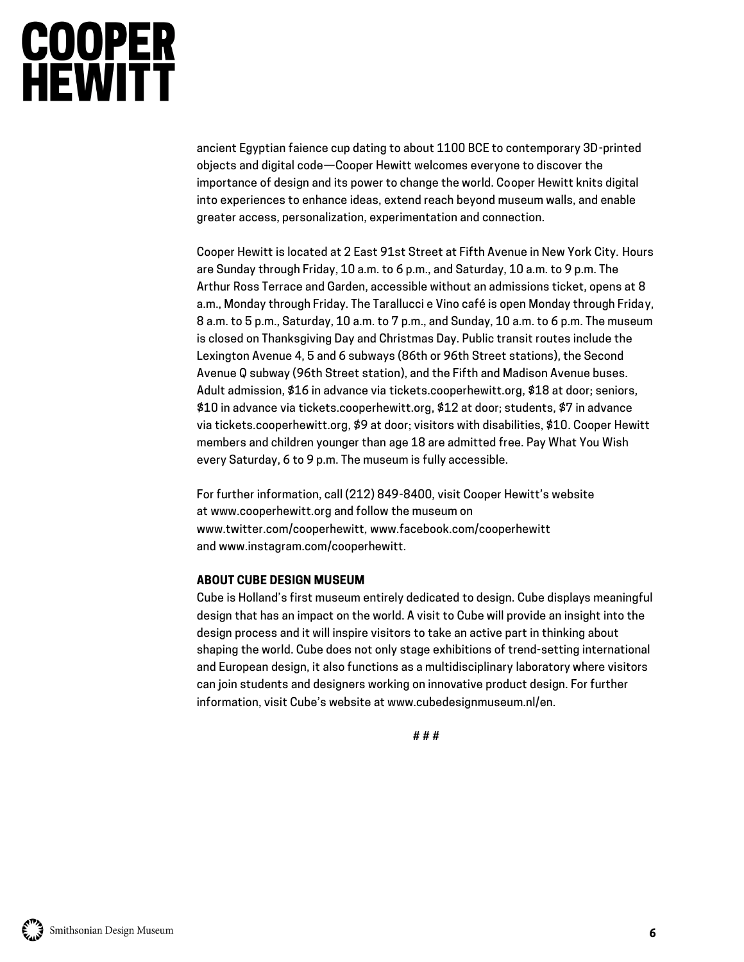ancient Egyptian faience cup dating to about 1100 BCE to contemporary 3D-printed objects and digital code—Cooper Hewitt welcomes everyone to discover the importance of design and its power to change the world. Cooper Hewitt knits digital into experiences to enhance ideas, extend reach beyond museum walls, and enable greater access, personalization, experimentation and connection.

Cooper Hewitt is located at 2 East 91st Street at Fifth Avenue in New York City. Hours are Sunday through Friday, 10 a.m. to 6 p.m., and Saturday, 10 a.m. to 9 p.m. The Arthur Ross Terrace and Garden, accessible without an admissions ticket, opens at 8 a.m., Monday through Friday. The Tarallucci e Vino café is open Monday through Friday, 8 a.m. to 5 p.m., Saturday, 10 a.m. to 7 p.m., and Sunday, 10 a.m. to 6 p.m. The museum is closed on Thanksgiving Day and Christmas Day. Public transit routes include the Lexington Avenue 4, 5 and 6 subways (86th or 96th Street stations), the Second Avenue Q subway (96th Street station), and the Fifth and Madison Avenue buses. Adult admission, \$16 in advance via [tickets.cooperhewitt.org,](http://tickets.cooperhewitt.org/) \$18 at door; seniors, \$10 in advance via [tickets.cooperhewitt.org,](http://tickets.cooperhewitt.org/) \$12 at door; students, \$7 in advance via [tickets.cooperhewitt.org,](http://tickets.cooperhewitt.org/) \$9 at door; visitors with disabilities, \$10. Cooper Hewitt members and children younger than age 18 are admitted free. Pay What You Wish every Saturday, 6 to 9 p.m. The museum is fully accessible.

For further information, call (212) 849-8400, visit Cooper Hewitt's website at [www.cooperhewitt.org](http://cooperhewitt.org/) and follow the museum on [www.twitter.com/cooperhewitt,](http://www.twitter.com/cooperhewitt,) [www.facebook.com/cooperhewitt](http://www.facebook.com/cooperhewitt) and [www.instagram.com/cooperhewitt.](http://www.instagram.com/cooperhewitt)

### **ABOUT CUBE DESIGN MUSEUM**

Cube is Holland's first museum entirely dedicated to design. Cube displays meaningful design that has an impact on the world. A visit to Cube will provide an insight into the design process and it will inspire visitors to take an active part in thinking about shaping the world. Cube does not only stage exhibitions of trend-setting international and European design, it also functions as a multidisciplinary laboratory where visitors can join students and designers working on innovative product design. For further information, visit Cube's website at www.cubedesignmuseum.nl/en.

# # #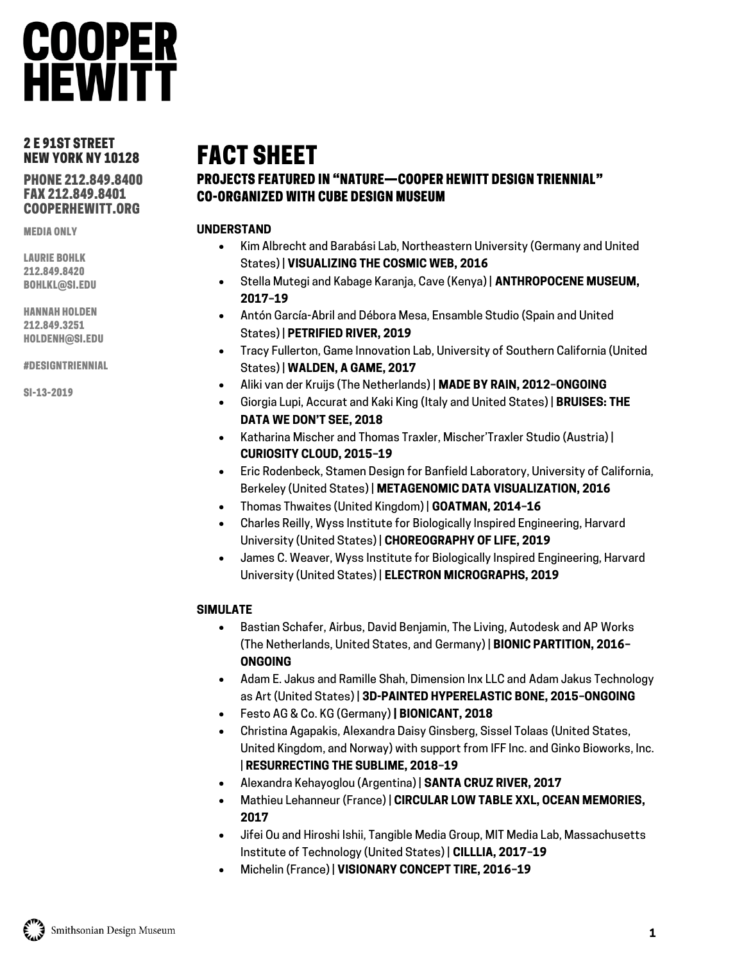## **COOPER HEWITT**

## 2 E 91ST STREET NEW YORK NY 10128

PHONE 212.849.8400 FAX 212.849.8401 COOPERHEWITT.ORG

MEDIA ONLY

LAURIE BOHLK 212.849.8420 BOHLKL@SI.EDU

HANNAH HOLDEN 212.849.3251 HOLDENH@SI.EDU

#DESIGNTRIENNIAL

SI-13-2019

## FACT SHEET

## PROJECTS FEATURED IN "NATURE—COOPER HEWITT DESIGN TRIENNIAL" CO-ORGANIZED WITH CUBE DESIGN MUSEUM

## **UNDERSTAND**

- Kim Albrecht and Barabási Lab, Northeastern University (Germany and United States) | **VISUALIZING THE COSMIC WEB, 2016**
- Stella Mutegi and Kabage Karanja, Cave (Kenya) | **ANTHROPOCENE MUSEUM, 2017–19**
- Antón García-Abril and Débora Mesa, Ensamble Studio (Spain and United States) | **PETRIFIED RIVER, 2019**
- Tracy Fullerton, Game Innovation Lab, University of Southern California (United States) | **WALDEN, A GAME, 2017**
- Aliki van der Kruijs (The Netherlands) | **MADE BY RAIN, 2012–ONGOING**
- Giorgia Lupi, Accurat and Kaki King (Italy and United States) | **BRUISES: THE DATA WE DON'T SEE, 2018**
- Katharina Mischer and Thomas Traxler, Mischer'Traxler Studio (Austria) | **CURIOSITY CLOUD, 2015–19**
- Eric Rodenbeck, Stamen Design for Banfield Laboratory, University of California, Berkeley (United States) | **METAGENOMIC DATA VISUALIZATION, 2016**
- Thomas Thwaites (United Kingdom) | **GOATMAN, 2014–16**
- Charles Reilly, Wyss Institute for Biologically Inspired Engineering, Harvard University (United States) | **CHOREOGRAPHY OF LIFE, 2019**
- James C. Weaver, Wyss Institute for Biologically Inspired Engineering, Harvard University (United States) | **ELECTRON MICROGRAPHS, 2019**

## **SIMULATE**

- Bastian Schafer, Airbus, David Benjamin, The Living, Autodesk and AP Works (The Netherlands, United States, and Germany) | **BIONIC PARTITION, 2016– ONGOING**
- Adam E. Jakus and Ramille Shah, Dimension Inx LLC and Adam Jakus Technology as Art (United States) | **3D-PAINTED HYPERELASTIC BONE, 2015–ONGOING**
- Festo AG & Co. KG (Germany) **| BIONICANT, 2018**
- Christina Agapakis, Alexandra Daisy Ginsberg, Sissel Tolaas (United States, United Kingdom, and Norway) with support from IFF Inc. and Ginko Bioworks, Inc. | **RESURRECTING THE SUBLIME, 2018–19**
- Alexandra Kehayoglou (Argentina) | **SANTA CRUZ RIVER, 2017**
- Mathieu Lehanneur (France) | **CIRCULAR LOW TABLE XXL, OCEAN MEMORIES, 2017**
- Jifei Ou and Hiroshi Ishii, Tangible Media Group, MIT Media Lab, Massachusetts Institute of Technology (United States) | **CILLLIA, 2017–19**
- Michelin (France) | **VISIONARY CONCEPT TIRE, 2016–19**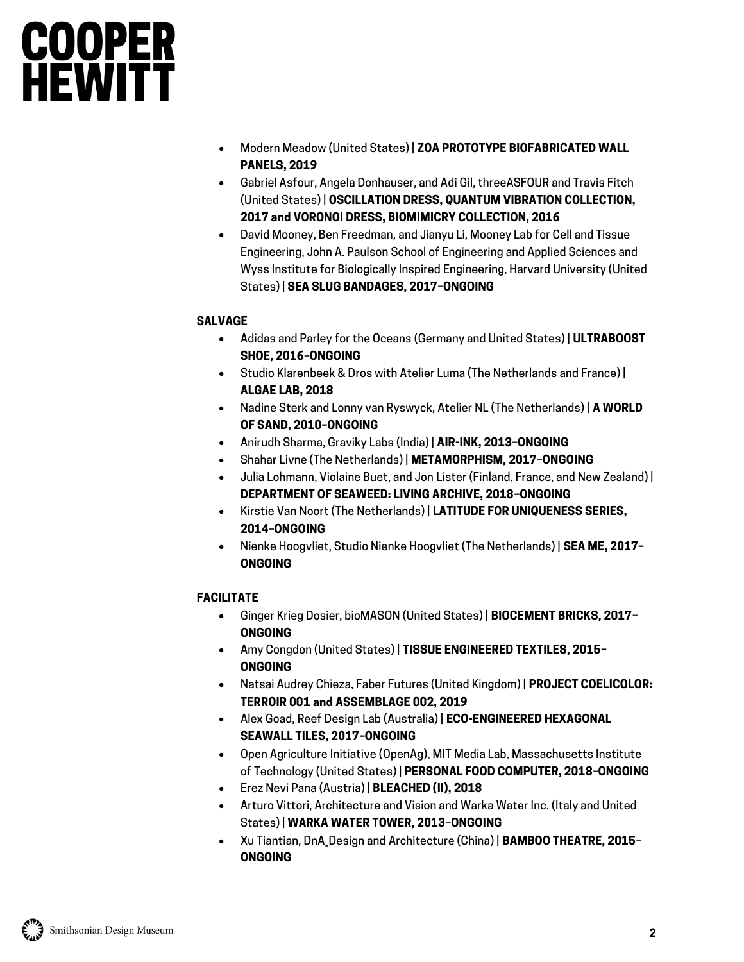- Modern Meadow (United States) | **ZOA PROTOTYPE BIOFABRICATED WALL PANELS, 2019**
- Gabriel Asfour, Angela Donhauser, and Adi Gil, threeASFOUR and Travis Fitch (United States) | **OSCILLATION DRESS, QUANTUM VIBRATION COLLECTION, 2017 and VORONOI DRESS, BIOMIMICRY COLLECTION, 2016**
- David Mooney, Ben Freedman, and Jianyu Li, Mooney Lab for Cell and Tissue Engineering, John A. Paulson School of Engineering and Applied Sciences and Wyss Institute for Biologically Inspired Engineering, Harvard University (United States) | **SEA SLUG BANDAGES, 2017–ONGOING**

## **SALVAGE**

- Adidas and Parley for the Oceans (Germany and United States) | **ULTRABOOST SHOE, 2016–ONGOING**
- Studio Klarenbeek & Dros with Atelier Luma (The Netherlands and France) | **ALGAE LAB, 2018**
- Nadine Sterk and Lonny van Ryswyck, Atelier NL (The Netherlands) | **A WORLD OF SAND, 2010–ONGOING**
- Anirudh Sharma, Graviky Labs (India) | **AIR-INK, 2013–ONGOING**
- Shahar Livne (The Netherlands) | **METAMORPHISM, 2017–ONGOING**
- Julia Lohmann, Violaine Buet, and Jon Lister (Finland, France, and New Zealand) | **DEPARTMENT OF SEAWEED: LIVING ARCHIVE, 2018–ONGOING**
- Kirstie Van Noort (The Netherlands) | **LATITUDE FOR UNIQUENESS SERIES, 2014–ONGOING**
- Nienke Hoogvliet, Studio Nienke Hoogvliet (The Netherlands) | **SEA ME, 2017– ONGOING**

## **FACILITATE**

- Ginger Krieg Dosier, bioMASON (United States) | **BIOCEMENT BRICKS, 2017– ONGOING**
- Amy Congdon (United States) | **TISSUE ENGINEERED TEXTILES, 2015– ONGOING**
- Natsai Audrey Chieza, Faber Futures (United Kingdom) | **PROJECT COELICOLOR: TERROIR 001 and ASSEMBLAGE 002, 2019**
- Alex Goad, Reef Design Lab (Australia) | **ECO-ENGINEERED HEXAGONAL SEAWALL TILES, 2017–ONGOING**
- Open Agriculture Initiative (OpenAg), MIT Media Lab, Massachusetts Institute of Technology (United States) | **PERSONAL FOOD COMPUTER, 2018–ONGOING**
- Erez Nevi Pana (Austria) | **BLEACHED (II), 2018**
- Arturo Vittori, Architecture and Vision and Warka Water Inc. (Italy and United States) | **WARKA WATER TOWER, 2013–ONGOING**
- Xu Tiantian, DnA\_Design and Architecture (China) | **BAMBOO THEATRE, 2015– ONGOING**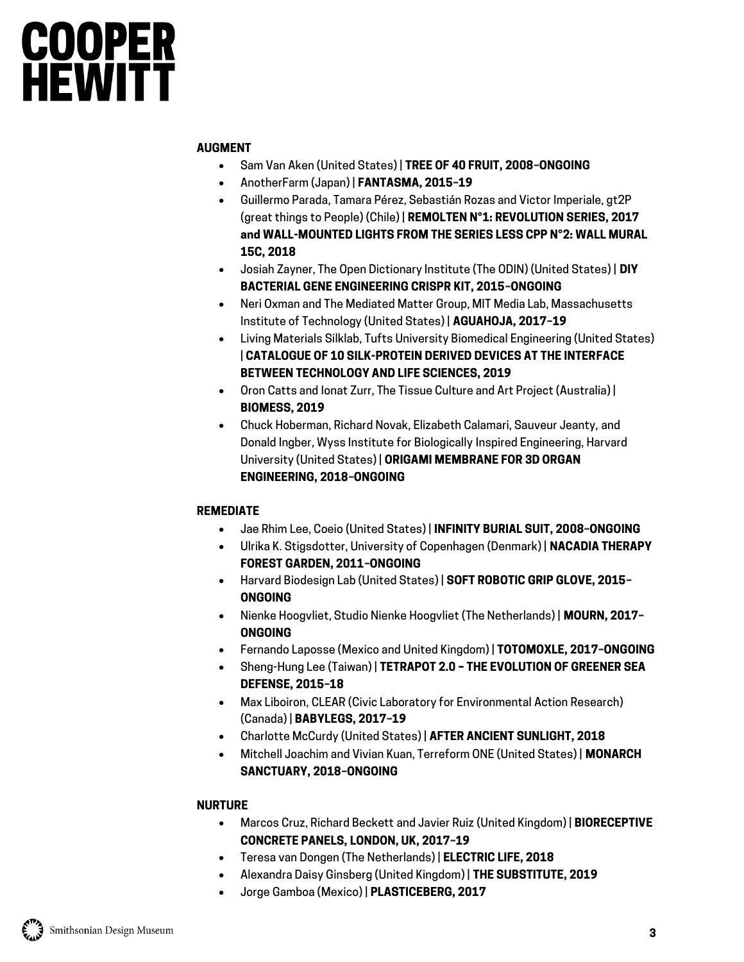## **AUGMENT**

- Sam Van Aken (United States) | **TREE OF 40 FRUIT, 2008–ONGOING**
- AnotherFarm (Japan) | **FANTASMA, 2015–19**
- Guillermo Parada, Tamara Pérez, Sebastián Rozas and Victor Imperiale, gt2P (great things to People) (Chile) | **REMOLTEN N°1: REVOLUTION SERIES, 2017 and WALL-MOUNTED LIGHTS FROM THE SERIES LESS CPP N°2: WALL MURAL 15C, 2018**
- Josiah Zayner, The Open Dictionary Institute (The ODIN) (United States) | **DIY BACTERIAL GENE ENGINEERING CRISPR KIT, 2015–ONGOING**
- Neri Oxman and The Mediated Matter Group, MIT Media Lab, Massachusetts Institute of Technology (United States) | **AGUAHOJA, 2017–19**
- Living Materials Silklab, Tufts University Biomedical Engineering (United States) | **CATALOGUE OF 10 SILK-PROTEIN DERIVED DEVICES AT THE INTERFACE BETWEEN TECHNOLOGY AND LIFE SCIENCES, 2019**
- Oron Catts and Ionat Zurr, The Tissue Culture and Art Project (Australia) | **BIOMESS, 2019**
- Chuck Hoberman, Richard Novak, Elizabeth Calamari, Sauveur Jeanty, and Donald Ingber, Wyss Institute for Biologically Inspired Engineering, Harvard University (United States) | **ORIGAMI MEMBRANE FOR 3D ORGAN ENGINEERING, 2018–ONGOING**

## **REMEDIATE**

- Jae Rhim Lee, Coeio (United States) | **INFINITY BURIAL SUIT, 2008–ONGOING**
- Ulrika K. Stigsdotter, University of Copenhagen (Denmark) | **NACADIA THERAPY FOREST GARDEN, 2011–ONGOING**
- Harvard Biodesign Lab (United States) | **SOFT ROBOTIC GRIP GLOVE, 2015– ONGOING**
- Nienke Hoogvliet, Studio Nienke Hoogvliet (The Netherlands) | **MOURN, 2017– ONGOING**
- Fernando Laposse (Mexico and United Kingdom) | **TOTOMOXLE, 2017–ONGOING**
- Sheng-Hung Lee (Taiwan) | **TETRAPOT 2.0 – THE EVOLUTION OF GREENER SEA DEFENSE, 2015–18**
- Max Liboiron, CLEAR (Civic Laboratory for Environmental Action Research) (Canada) | **BABYLEGS, 2017–19**
- Charlotte McCurdy (United States) | **AFTER ANCIENT SUNLIGHT, 2018**
- Mitchell Joachim and Vivian Kuan, Terreform ONE (United States) | **MONARCH SANCTUARY, 2018–ONGOING**

## **NURTURE**

- Marcos Cruz, Richard Beckett and Javier Ruiz (United Kingdom) | **BIORECEPTIVE CONCRETE PANELS, LONDON, UK, 2017–19**
- Teresa van Dongen (The Netherlands) | **ELECTRIC LIFE, 2018**
- Alexandra Daisy Ginsberg (United Kingdom) | **THE SUBSTITUTE, 2019**
- Jorge Gamboa (Mexico) | **PLASTICEBERG, 2017**